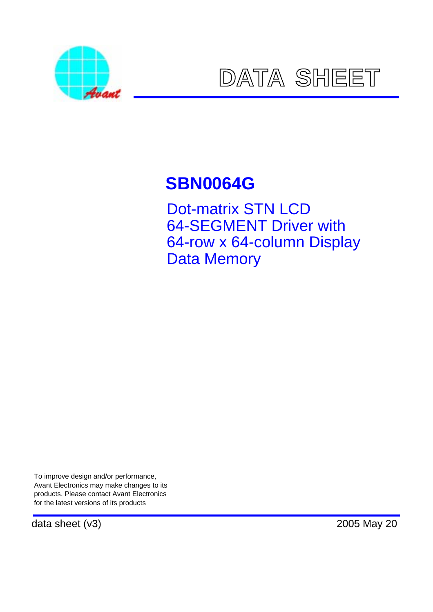



# **SBN0064G**

Dot-matrix STN LCD 64-SEGMENT Driver with 64-row x 64-column Display Data Memory

To improve design and/or performance, Avant Electronics may make changes to its products. Please contact Avant Electronics for the latest versions of its products

data sheet (v3) 2005 May 20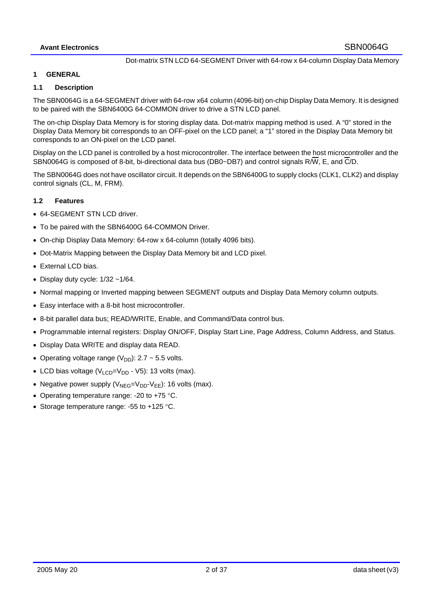#### **1 GENERAL**

## **1.1 Description**

The SBN0064G is a 64-SEGMENT driver with 64-row x64 column (4096-bit) on-chip Display Data Memory. It is designed to be paired with the SBN6400G 64-COMMON driver to drive a STN LCD panel.

The on-chip Display Data Memory is for storing display data. Dot-matrix mapping method is used. A "0" stored in the Display Data Memory bit corresponds to an OFF-pixel on the LCD panel; a "1" stored in the Display Data Memory bit corresponds to an ON-pixel on the LCD panel.

Display on the LCD panel is controlled by a host microcontroller. The interface between the host microcontroller and the SBN0064G is composed of 8-bit, bi-directional data bus (DB0~DB7) and control signals R/W, E, and C/D.

The SBN0064G does not have oscillator circuit. It depends on the SBN6400G to supply clocks (CLK1, CLK2) and display control signals (CL, M, FRM).

## **1.2 Features**

- 64-SEGMENT STN LCD driver.
- To be paired with the SBN6400G 64-COMMON Driver.
- On-chip Display Data Memory: 64-row x 64-column (totally 4096 bits).
- Dot-Matrix Mapping between the Display Data Memory bit and LCD pixel.
- External LCD bias.
- Display duty cycle:  $1/32 1/64$ .
- Normal mapping or Inverted mapping between SEGMENT outputs and Display Data Memory column outputs.
- Easy interface with a 8-bit host microcontroller.
- 8-bit parallel data bus; READ/WRITE, Enable, and Command/Data control bus.
- Programmable internal registers: Display ON/OFF, Display Start Line, Page Address, Column Address, and Status.
- Display Data WRITE and display data READ.
- Operating voltage range  $(V_{DD})$ : 2.7 ~ 5.5 volts.
- LCD bias voltage  $(V_{LCD}=V_{DD} V_5)$ : 13 volts (max).
- Negative power supply  $(V_{NEG}=V_{DD}\cdot V_{EE})$ : 16 volts (max).
- Operating temperature range: -20 to +75 °C.
- Storage temperature range: -55 to +125 °C.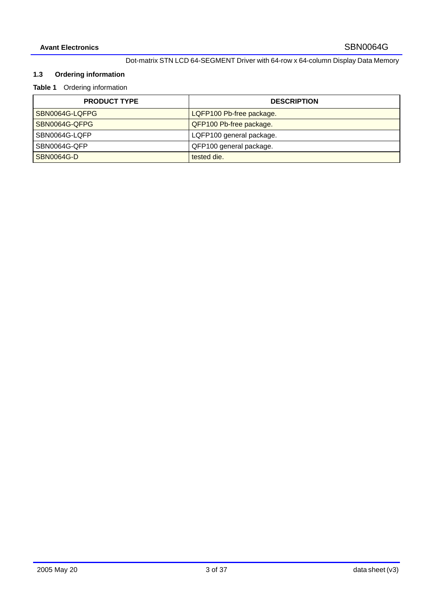# **1.3 Ordering information**

# **Table 1** Ordering information

| <b>PRODUCT TYPE</b> | <b>DESCRIPTION</b>       |
|---------------------|--------------------------|
| SBN0064G-LQFPG      | LQFP100 Pb-free package. |
| ISBN0064G-QFPG      | QFP100 Pb-free package.  |
| l SBN0064G-LQFP     | LQFP100 general package. |
| SBN0064G-OFP        | QFP100 general package.  |
| SBN0064G-D          | tested die.              |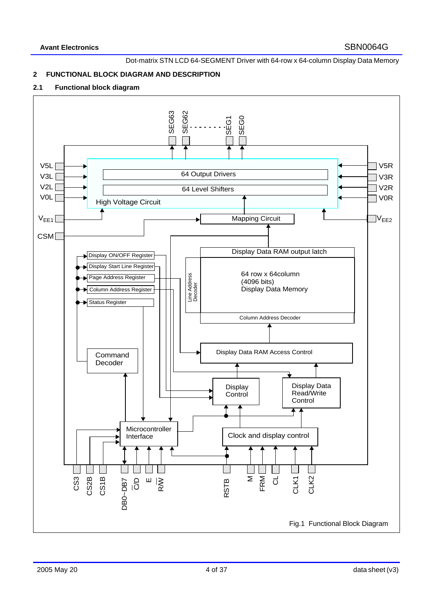## **2 FUNCTIONAL BLOCK DIAGRAM AND DESCRIPTION**

## **2.1 Functional block diagram**

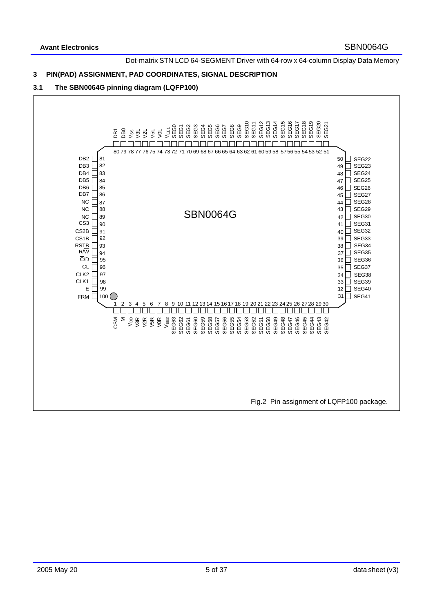#### **3 PIN(PAD) ASSIGNMENT, PAD COORDINATES, SIGNAL DESCRIPTION**

#### **3.1 The SBN0064G pinning diagram (LQFP100)**

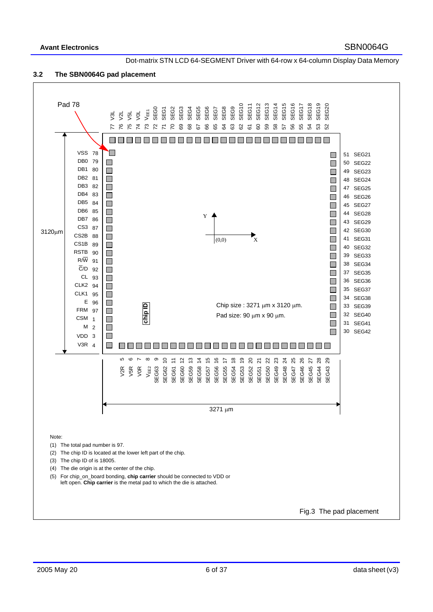

## **3.2 The SBN0064G pad placement**

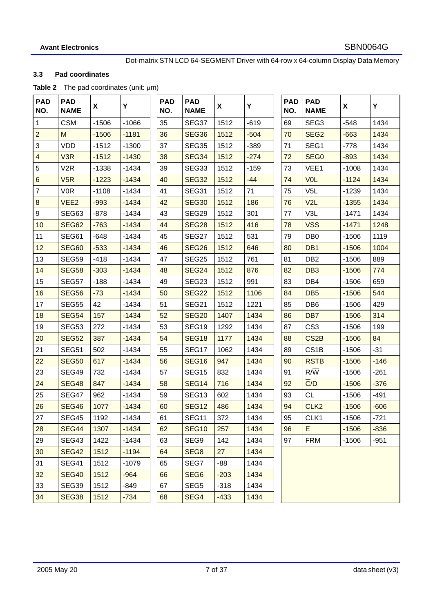## **3.3 Pad coordinates**

#### Table 2 The pad coordinates (unit:  $\mu$ m)

|                         | $\mu$ . The pad coordinated (drift: $\mu$ ) |         |         |                   |                           |        |        |                   |                           |         |
|-------------------------|---------------------------------------------|---------|---------|-------------------|---------------------------|--------|--------|-------------------|---------------------------|---------|
| <b>PAD</b><br>NO.       | <b>PAD</b><br><b>NAME</b>                   | X       | Y       | <b>PAD</b><br>NO. | <b>PAD</b><br><b>NAME</b> | X      | Y      | <b>PAD</b><br>NO. | <b>PAD</b><br><b>NAME</b> | X       |
|                         | <b>CSM</b>                                  | $-1506$ | $-1066$ | 35                | SEG37                     | 1512   | $-619$ | 69                | SEG <sub>3</sub>          | $-548$  |
|                         | M                                           | $-1506$ | $-1181$ | 36                | SEG36                     | 1512   | $-504$ | 70                | SEG <sub>2</sub>          | $-663$  |
| 3                       | <b>VDD</b>                                  | $-1512$ | $-1300$ | 37                | SEG35                     | 1512   | $-389$ | 71                | SEG1                      | $-778$  |
| $\overline{\mathbf{4}}$ | V <sub>3R</sub>                             | $-1512$ | $-1430$ | 38                | SEG34                     | 1512   | $-274$ | 72                | SEG <sub>0</sub>          | $-893$  |
| 5                       | V <sub>2</sub> R                            | $-1338$ | $-1434$ | 39                | SEG33                     | 1512   | $-159$ | 73                | VEE1                      | $-1008$ |
| 6                       | V5R                                         | $-1223$ | $-1434$ | 40                | <b>SEG32</b>              | 1512   | $-44$  | 74                | <b>VOL</b>                | $-1124$ |
| $\overline{7}$          | <b>VOR</b>                                  | $-1108$ | $-1434$ | 41                | SEG31                     | 1512   | 71     | 75                | V <sub>5</sub> L          | $-1239$ |
| $\bf 8$                 | VEE <sub>2</sub>                            | $-993$  | $-1434$ | 42                | <b>SEG30</b>              | 1512   | 186    | 76                | V2L                       | $-1355$ |
| 9                       | SEG63                                       | $-878$  | $-1434$ | 43                | SEG29                     | 1512   | 301    | 77                | V3L                       | $-1471$ |
| 10                      | <b>SEG62</b>                                | $-763$  | $-1434$ | 44                | SEG28                     | 1512   | 416    | 78                | <b>VSS</b>                | $-1471$ |
| 11                      | SEG61                                       | $-648$  | $-1434$ | 45                | SEG27                     | 1512   | 531    | 79                | DB <sub>0</sub>           | $-1506$ |
| 12                      | <b>SEG60</b>                                | $-533$  | $-1434$ | 46                | SEG <sub>26</sub>         | 1512   | 646    | 80                | DB <sub>1</sub>           | $-1506$ |
| 13                      | SEG59                                       | $-418$  | $-1434$ | 47                | SEG25                     | 1512   | 761    | 81                | DB <sub>2</sub>           | $-1506$ |
| 14                      | <b>SEG58</b>                                | $-303$  | $-1434$ | 48                | <b>SEG24</b>              | 1512   | 876    | 82                | DB <sub>3</sub>           | $-1506$ |
| 15                      | SEG57                                       | $-188$  | $-1434$ | 49                | SEG23                     | 1512   | 991    | 83                | DB4                       | $-1506$ |
| 16                      | <b>SEG56</b>                                | $-73$   | $-1434$ | 50                | <b>SEG22</b>              | 1512   | 1106   | 84                | DB <sub>5</sub>           | $-1506$ |
| 17                      | SEG55                                       | 42      | $-1434$ | 51                | SEG21                     | 1512   | 1221   | 85                | DB <sub>6</sub>           | $-1506$ |
| 18                      | <b>SEG54</b>                                | 157     | $-1434$ | 52                | <b>SEG20</b>              | 1407   | 1434   | 86                | DB <sub>7</sub>           | $-1506$ |
| 19                      | SEG53                                       | 272     | $-1434$ | 53                | SEG19                     | 1292   | 1434   | 87                | CS <sub>3</sub>           | $-1506$ |
| 20                      | <b>SEG52</b>                                | 387     | $-1434$ | 54                | SEG18                     | 1177   | 1434   | 88                | CS <sub>2</sub> B         | $-1506$ |
| 21                      | <b>SEG51</b>                                | 502     | $-1434$ | 55                | SEG17                     | 1062   | 1434   | 89                | CS <sub>1</sub> B         | $-1506$ |
| 22                      | <b>SEG50</b>                                | 617     | $-1434$ | 56                | <b>SEG16</b>              | 947    | 1434   | 90                | <b>RSTB</b>               | $-1506$ |
| 23                      | SEG49                                       | 732     | $-1434$ | 57                | SEG <sub>15</sub>         | 832    | 1434   | 91                | $R/\overline{W}$          | $-1506$ |
| 24                      | <b>SEG48</b>                                | 847     | $-1434$ | 58                | <b>SEG14</b>              | 716    | 1434   | 92                | C/D                       | $-1506$ |
| 25                      | SEG47                                       | 962     | $-1434$ | 59                | SEG <sub>13</sub>         | 602    | 1434   | 93                | <b>CL</b>                 | $-1506$ |
| 26                      | <b>SEG46</b>                                | 1077    | $-1434$ | 60                | <b>SEG12</b>              | 486    | 1434   | 94                | CLK <sub>2</sub>          | $-1506$ |
| 27                      | SEG45                                       | 1192    | -1434   | 61                | SEG11                     | 372    | 1434   | 95                | CLK <sub>1</sub>          | $-1506$ |
| 28                      | <b>SEG44</b>                                | 1307    | $-1434$ | 62                | <b>SEG10</b>              | 257    | 1434   | 96                | E                         | $-1506$ |
| 29                      | SEG43                                       | 1422    | $-1434$ | 63                | SEG9                      | 142    | 1434   | 97                | <b>FRM</b>                | $-1506$ |
| 30                      | <b>SEG42</b>                                | 1512    | $-1194$ | 64                | SEG8                      | 27     | 1434   |                   |                           |         |
| 31                      | SEG41                                       | 1512    | $-1079$ | 65                | SEG7                      | -88    | 1434   |                   |                           |         |
| 32                      | <b>SEG40</b>                                | 1512    | $-964$  | 66                | SEG <sub>6</sub>          | $-203$ | 1434   |                   |                           |         |
| 33                      | SEG39                                       | 1512    | -849    | 67                | SEG <sub>5</sub>          | $-318$ | 1434   |                   |                           |         |
| 34                      | SEG38                                       | 1512    | $-734$  | 68                | SEG4                      | $-433$ | 1434   |                   |                           |         |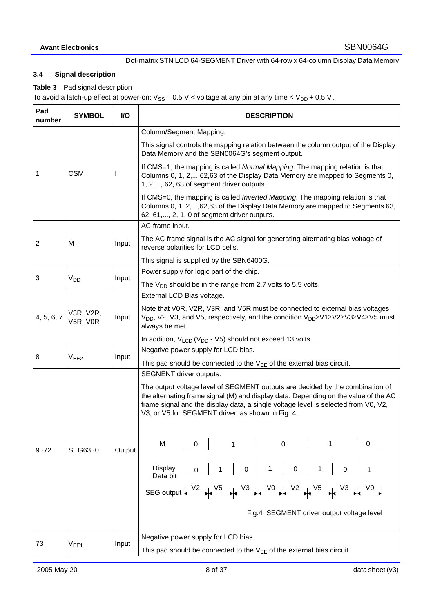# **3.4 Signal description**

**Table 3** Pad signal description

To avoid a latch-up effect at power-on:  $V_{SS} - 0.5$  V < voltage at any pin at any time <  $V_{DD}$  + 0.5 V.

| Pad<br>number | <b>SYMBOL</b>         | <b>VO</b> | <b>DESCRIPTION</b>                                                                                                                                                                                                                                                                                                                      |  |  |  |  |  |
|---------------|-----------------------|-----------|-----------------------------------------------------------------------------------------------------------------------------------------------------------------------------------------------------------------------------------------------------------------------------------------------------------------------------------------|--|--|--|--|--|
|               |                       |           | Column/Segment Mapping.                                                                                                                                                                                                                                                                                                                 |  |  |  |  |  |
|               |                       |           | This signal controls the mapping relation between the column output of the Display<br>Data Memory and the SBN0064G's segment output.                                                                                                                                                                                                    |  |  |  |  |  |
| 1             | <b>CSM</b>            |           | If CMS=1, the mapping is called Normal Mapping. The mapping relation is that<br>Columns 0, 1, 2,,62,63 of the Display Data Memory are mapped to Segments 0,<br>1, 2,, 62, 63 of segment driver outputs.                                                                                                                                 |  |  |  |  |  |
|               |                       |           | If CMS=0, the mapping is called <i>Inverted Mapping</i> . The mapping relation is that<br>Columns 0, 1, 2,,62,63 of the Display Data Memory are mapped to Segments 63,<br>62, 61,, 2, 1, 0 of segment driver outputs.                                                                                                                   |  |  |  |  |  |
|               |                       |           | AC frame input.                                                                                                                                                                                                                                                                                                                         |  |  |  |  |  |
| 2             | M                     | Input     | The AC frame signal is the AC signal for generating alternating bias voltage of<br>reverse polarities for LCD cells.                                                                                                                                                                                                                    |  |  |  |  |  |
|               |                       |           | This signal is supplied by the SBN6400G.                                                                                                                                                                                                                                                                                                |  |  |  |  |  |
| 3             | <b>V<sub>DD</sub></b> | Input     | Power supply for logic part of the chip.                                                                                                                                                                                                                                                                                                |  |  |  |  |  |
|               |                       |           | The $V_{DD}$ should be in the range from 2.7 volts to 5.5 volts.                                                                                                                                                                                                                                                                        |  |  |  |  |  |
|               |                       |           | External LCD Bias voltage.                                                                                                                                                                                                                                                                                                              |  |  |  |  |  |
| 4, 5, 6, 7    | V3R, V2R,<br>V5R, V0R | Input     | Note that V0R, V2R, V3R, and V5R must be connected to external bias voltages<br>$V_{DD}$ , V2, V3, and V5, respectively, and the condition $V_{DD} \geq V1 \geq V2 \geq V3 \geq V4 \geq V5$ must<br>always be met.                                                                                                                      |  |  |  |  |  |
|               |                       |           | In addition, $V_{LCD} (V_{DD} - V5)$ should not exceed 13 volts.                                                                                                                                                                                                                                                                        |  |  |  |  |  |
|               |                       |           | Negative power supply for LCD bias.                                                                                                                                                                                                                                                                                                     |  |  |  |  |  |
| 8             | V <sub>EE2</sub>      | Input     | This pad should be connected to the $V_{EE}$ of the external bias circuit.                                                                                                                                                                                                                                                              |  |  |  |  |  |
|               |                       |           | SEGNENT driver outputs.                                                                                                                                                                                                                                                                                                                 |  |  |  |  |  |
|               |                       |           | The output voltage level of SEGMENT outputs are decided by the combination of<br>the alternating frame signal (M) and display data. Depending on the value of the AC<br>frame signal and the display data, a single voltage level is selected from V0, V2,<br>V3, or V5 for SEGMENT driver, as shown in Fig. 4.                         |  |  |  |  |  |
| $9 - 72$      | SEG63~0               | Output    | M<br>0<br>0<br>1<br>0<br>1                                                                                                                                                                                                                                                                                                              |  |  |  |  |  |
|               |                       |           | Display<br>0<br>0<br>1<br>1<br>0<br>0<br>Data bit                                                                                                                                                                                                                                                                                       |  |  |  |  |  |
|               |                       |           | SEG output $\begin{array}{ccc} \vert & \sqrt{2} & \sqrt{5} \\ \vert & \vert & \vert & \sqrt{2} \end{array}$ $\rightarrow \begin{array}{ccc} \vert & \sqrt{3} & \sqrt{0} \\ \vert & \vert & \vert & \vert \end{array}$ $\rightarrow \begin{array}{ccc} \vert & \sqrt{2} & \vert & \sqrt{3} \\ \vert & \vert & \vert & \vert \end{array}$ |  |  |  |  |  |
|               |                       |           | Fig.4 SEGMENT driver output voltage level                                                                                                                                                                                                                                                                                               |  |  |  |  |  |
|               |                       |           | Negative power supply for LCD bias.                                                                                                                                                                                                                                                                                                     |  |  |  |  |  |
| 73            | V <sub>EF1</sub>      | Input     | This pad should be connected to the $V_{EE}$ of the external bias circuit.                                                                                                                                                                                                                                                              |  |  |  |  |  |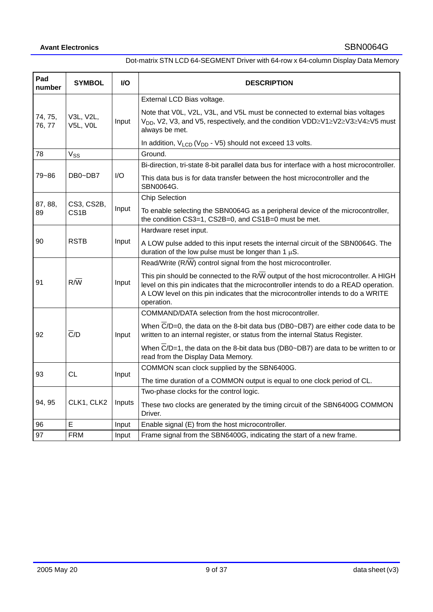| Pad<br>number                                             | <b>SYMBOL</b>             | <b>VO</b> | <b>DESCRIPTION</b>                                                                                                                                                                                                                                                                        |  |  |  |  |
|-----------------------------------------------------------|---------------------------|-----------|-------------------------------------------------------------------------------------------------------------------------------------------------------------------------------------------------------------------------------------------------------------------------------------------|--|--|--|--|
|                                                           |                           |           | External LCD Bias voltage.                                                                                                                                                                                                                                                                |  |  |  |  |
| 74, 75,<br>76, 77                                         | V3L, V2L,<br>V5L, V0L     | Input     | Note that V0L, V2L, V3L, and V5L must be connected to external bias voltages<br>V <sub>DD</sub> , V2, V3, and V5, respectively, and the condition VDD≥V1≥V2≥V3≥V4≥V5 must<br>always be met.                                                                                               |  |  |  |  |
|                                                           |                           |           | In addition, $V_{LCD} (V_{DD} - V5)$ should not exceed 13 volts.                                                                                                                                                                                                                          |  |  |  |  |
| 78                                                        | $V_{SS}$                  |           | Ground.                                                                                                                                                                                                                                                                                   |  |  |  |  |
|                                                           |                           |           | Bi-direction, tri-state 8-bit parallel data bus for interface with a host microcontroller.                                                                                                                                                                                                |  |  |  |  |
| 79~86                                                     | DB0~DB7                   | I/O       | This data bus is for data transfer between the host microcontroller and the<br>SBN0064G.                                                                                                                                                                                                  |  |  |  |  |
|                                                           |                           |           | <b>Chip Selection</b>                                                                                                                                                                                                                                                                     |  |  |  |  |
| 87, 88,<br>CS3, CS2B,<br>Input<br>CS <sub>1</sub> B<br>89 |                           |           | To enable selecting the SBN0064G as a peripheral device of the microcontroller,<br>the condition CS3=1, CS2B=0, and CS1B=0 must be met.                                                                                                                                                   |  |  |  |  |
|                                                           |                           |           | Hardware reset input.                                                                                                                                                                                                                                                                     |  |  |  |  |
| <b>RSTB</b><br>90                                         |                           | Input     | A LOW pulse added to this input resets the internal circuit of the SBN0064G. The<br>duration of the low pulse must be longer than 1 $\mu$ S.                                                                                                                                              |  |  |  |  |
|                                                           |                           |           | Read/Write (R/W) control signal from the host microcontroller.                                                                                                                                                                                                                            |  |  |  |  |
| 91                                                        | $R/\overline{W}$          | Input     | This pin should be connected to the $R/\overline{W}$ output of the host microcontroller. A HIGH<br>level on this pin indicates that the microcontroller intends to do a READ operation.<br>A LOW level on this pin indicates that the microcontroller intends to do a WRITE<br>operation. |  |  |  |  |
|                                                           |                           |           | COMMAND/DATA selection from the host microcontroller.                                                                                                                                                                                                                                     |  |  |  |  |
| 92                                                        | $\overline{C}/D$<br>Input |           | When C/D=0, the data on the 8-bit data bus (DB0~DB7) are either code data to be<br>written to an internal register, or status from the internal Status Register.                                                                                                                          |  |  |  |  |
|                                                           |                           |           | When $\overline{C}/D=1$ , the data on the 8-bit data bus (DB0~DB7) are data to be written to or<br>read from the Display Data Memory.                                                                                                                                                     |  |  |  |  |
| 93                                                        | <b>CL</b>                 | Input     | COMMON scan clock supplied by the SBN6400G.                                                                                                                                                                                                                                               |  |  |  |  |
|                                                           |                           |           | The time duration of a COMMON output is equal to one clock period of CL.                                                                                                                                                                                                                  |  |  |  |  |
|                                                           |                           |           | Two-phase clocks for the control logic.                                                                                                                                                                                                                                                   |  |  |  |  |
| 94, 95                                                    | CLK1, CLK2                | Inputs    | These two clocks are generated by the timing circuit of the SBN6400G COMMON<br>Driver.                                                                                                                                                                                                    |  |  |  |  |
| 96                                                        | E                         | Input     | Enable signal (E) from the host microcontroller.                                                                                                                                                                                                                                          |  |  |  |  |
| 97                                                        | <b>FRM</b>                | Input     | Frame signal from the SBN6400G, indicating the start of a new frame.                                                                                                                                                                                                                      |  |  |  |  |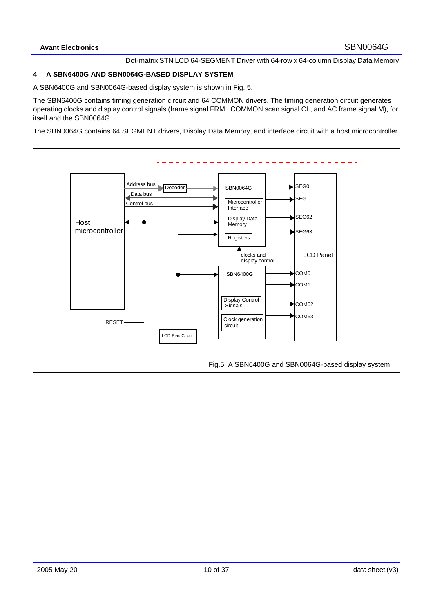## **4 A SBN6400G AND SBN0064G-BASED DISPLAY SYSTEM**

A SBN6400G and SBN0064G-based display system is shown in Fig. 5.

The SBN6400G contains timing generation circuit and 64 COMMON drivers. The timing generation circuit generates operating clocks and display control signals (frame signal FRM , COMMON scan signal CL, and AC frame signal M), for itself and the SBN0064G.

The SBN0064G contains 64 SEGMENT drivers, Display Data Memory, and interface circuit with a host microcontroller.

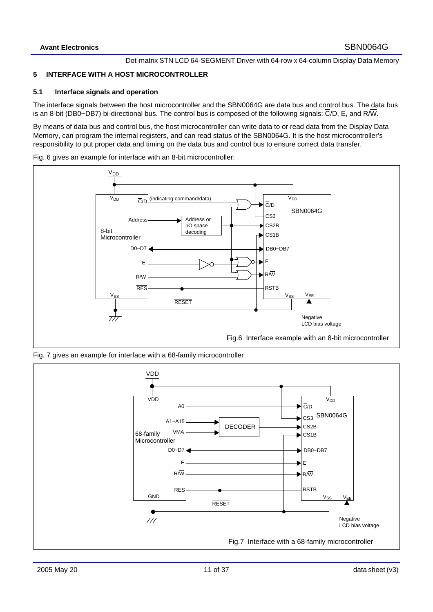## **5 INTERFACE WITH A HOST MICROCONTROLLER**

#### **5.1 Interface signals and operation**

The interface signals between the host microcontroller and the SBN0064G are data bus and control bus. The data bus is an 8-bit (DB0~DB7) bi-directional bus. The control bus is composed of the following signals:  $\overline{C}/D$ , E, and R $\overline{W}$ .

By means of data bus and control bus, the host microcontroller can write data to or read data from the Display Data Memory, can program the internal registers, and can read status of the SBN0064G. It is the host microcontroller's responsibility to put proper data and timing on the data bus and control bus to ensure correct data transfer.

Fig. 6 gives an example for interface with an 8-bit microcontroller:



Fig. 7 gives an example for interface with a 68-family microcontroller

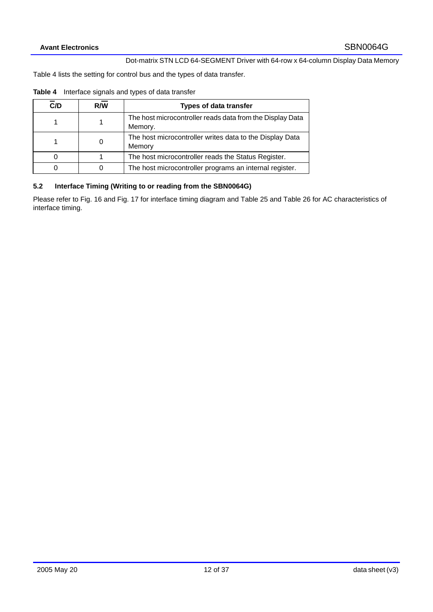Table 4 lists the setting for control bus and the types of data transfer.

| C/D      | R/W | <b>Types of data transfer</b>                                        |
|----------|-----|----------------------------------------------------------------------|
|          |     | The host microcontroller reads data from the Display Data<br>Memory. |
|          | 0   | The host microcontroller writes data to the Display Data<br>Memory   |
| $\Omega$ |     | The host microcontroller reads the Status Register.                  |
| ი        | 0   | The host microcontroller programs an internal register.              |

# **5.2 Interface Timing (Writing to or reading from the SBN0064G)**

Please refer to Fig. 16 and Fig. 17 for interface timing diagram and Table 25 and Table 26 for AC characteristics of interface timing.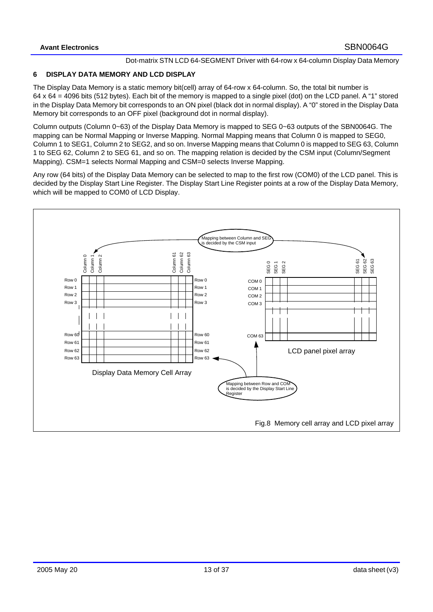# **6 DISPLAY DATA MEMORY AND LCD DISPLAY**

The Display Data Memory is a static memory bit(cell) array of 64-row x 64-column. So, the total bit number is 64 x 64 = 4096 bits (512 bytes). Each bit of the memory is mapped to a single pixel (dot) on the LCD panel. A "1" stored in the Display Data Memory bit corresponds to an ON pixel (black dot in normal display). A "0" stored in the Display Data Memory bit corresponds to an OFF pixel (background dot in normal display).

Column outputs (Column 0~63) of the Display Data Memory is mapped to SEG 0~63 outputs of the SBN0064G. The mapping can be Normal Mapping or Inverse Mapping. Normal Mapping means that Column 0 is mapped to SEG0, Column 1 to SEG1, Column 2 to SEG2, and so on. Inverse Mapping means that Column 0 is mapped to SEG 63, Column 1 to SEG 62, Column 2 to SEG 61, and so on. The mapping relation is decided by the CSM input (Column/Segment Mapping). CSM=1 selects Normal Mapping and CSM=0 selects Inverse Mapping.

Any row (64 bits) of the Display Data Memory can be selected to map to the first row (COM0) of the LCD panel. This is decided by the Display Start Line Register. The Display Start Line Register points at a row of the Display Data Memory, which will be mapped to COM0 of LCD Display.

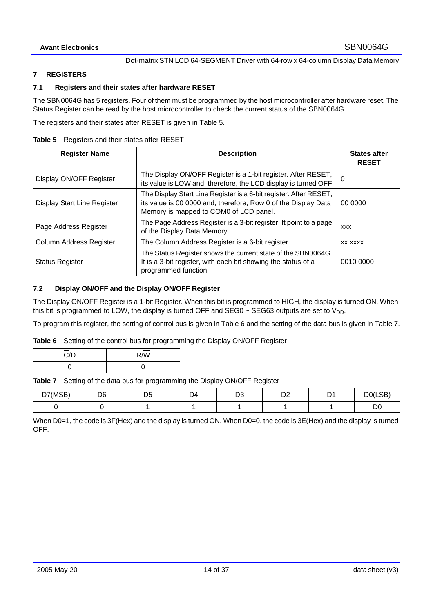#### **7 REGISTERS**

## **7.1 Registers and their states after hardware RESET**

The SBN0064G has 5 registers. Four of them must be programmed by the host microcontroller after hardware reset. The Status Register can be read by the host microcontroller to check the current status of the SBN0064G.

The registers and their states after RESET is given in Table 5.

**Table 5** Registers and their states after RESET

| <b>Register Name</b>        | <b>Description</b>                                                                                                                                                            |            |  |  |  |
|-----------------------------|-------------------------------------------------------------------------------------------------------------------------------------------------------------------------------|------------|--|--|--|
| Display ON/OFF Register     | The Display ON/OFF Register is a 1-bit register. After RESET,<br>its value is LOW and, therefore, the LCD display is turned OFF.                                              | 0          |  |  |  |
| Display Start Line Register | The Display Start Line Register is a 6-bit register. After RESET,<br>its value is 00 0000 and, therefore, Row 0 of the Display Data<br>Memory is mapped to COM0 of LCD panel. | 00 0000    |  |  |  |
| Page Address Register       | The Page Address Register is a 3-bit register. It point to a page<br>of the Display Data Memory.                                                                              | <b>XXX</b> |  |  |  |
| Column Address Register     | The Column Address Register is a 6-bit register.                                                                                                                              | XX XXXX    |  |  |  |
| <b>Status Register</b>      | The Status Register shows the current state of the SBN0064G.<br>It is a 3-bit register, with each bit showing the status of a<br>programmed function.                         | 0010 0000  |  |  |  |

## **7.2 Display ON/OFF and the Display ON/OFF Register**

The Display ON/OFF Register is a 1-bit Register. When this bit is programmed to HIGH, the display is turned ON. When this bit is programmed to LOW, the display is turned OFF and SEG0  $\sim$  SEG63 outputs are set to  $V_{DD}$ .

To program this register, the setting of control bus is given in Table 6 and the setting of the data bus is given in Table 7.

**Table 6** Setting of the control bus for programming the Display ON/OFF Register

| $\sim$<br>C/D | $R/\overline{W}$ |
|---------------|------------------|
|               |                  |

**Table 7** Setting of the data bus for programming the Display ON/OFF Register

| D7(MSB) | D <sub>6</sub> | --<br>בו<br>ບ∪ | D4 | n o<br>ບ∪ | n.<br>◡▵ | $\mathbf{a}$<br>◡ | D0(LSB)        |
|---------|----------------|----------------|----|-----------|----------|-------------------|----------------|
|         |                |                |    |           |          |                   | D <sub>0</sub> |

When D0=1, the code is 3F(Hex) and the display is turned ON. When D0=0, the code is 3E(Hex) and the display is turned OFF.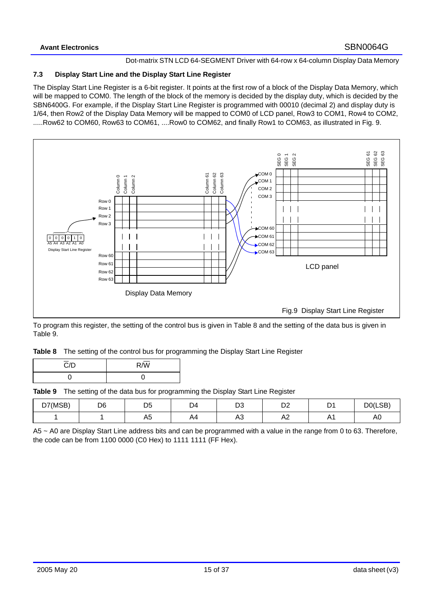## **7.3 Display Start Line and the Display Start Line Register**

The Display Start Line Register is a 6-bit register. It points at the first row of a block of the Display Data Memory, which will be mapped to COM0. The length of the block of the memory is decided by the display duty, which is decided by the SBN6400G. For example, if the Display Start Line Register is programmed with 00010 (decimal 2) and display duty is 1/64, then Row2 of the Display Data Memory will be mapped to COM0 of LCD panel, Row3 to COM1, Row4 to COM2, .....Row62 to COM60, Row63 to COM61, ....Row0 to COM62, and finally Row1 to COM63, as illustrated in Fig. 9.



To program this register, the setting of the control bus is given in Table 8 and the setting of the data bus is given in Table 9.

| Table 8 The setting of the control bus for programming the Display Start Line Register |  |  |
|----------------------------------------------------------------------------------------|--|--|
|                                                                                        |  |  |

| $\overline{C}/D$ | $R/\overline{W}$ |
|------------------|------------------|
|                  |                  |

**Table 9** The setting of the data bus for programming the Display Start Line Register

| D7(MSB) | D <sub>6</sub> | nб<br>◡  | D4      | n o<br>ບ∪             | D <sub>0</sub><br>◡▵  | n.<br>◡      | D <sub>0</sub> (LSB) |
|---------|----------------|----------|---------|-----------------------|-----------------------|--------------|----------------------|
|         |                | ハ ト<br>∼ | ΔΔ<br>. | $\wedge$ $\sim$<br>nυ | $\Lambda$ $\sim$<br>∼ | Δ.<br>$\sim$ | A0                   |

A5 ~ A0 are Display Start Line address bits and can be programmed with a value in the range from 0 to 63. Therefore, the code can be from 1100 0000 (C0 Hex) to 1111 1111 (FF Hex).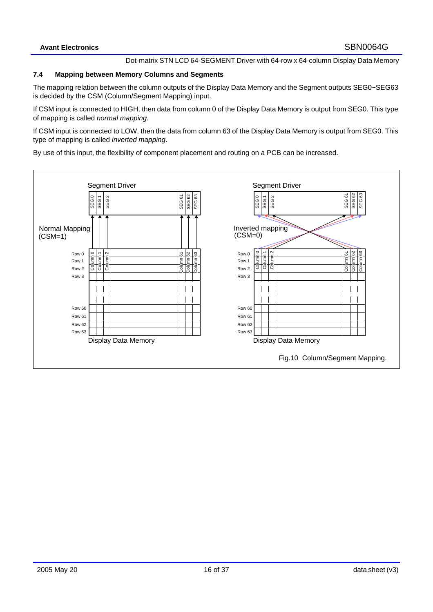#### **7.4 Mapping between Memory Columns and Segments**

The mapping relation between the column outputs of the Display Data Memory and the Segment outputs SEG0~SEG63 is decided by the CSM (Column/Segment Mapping) input.

If CSM input is connected to HIGH, then data from column 0 of the Display Data Memory is output from SEG0. This type of mapping is called *normal mapping*.

If CSM input is connected to LOW, then the data from column 63 of the Display Data Memory is output from SEG0. This type of mapping is called *inverted mapping*.

By use of this input, the flexibility of component placement and routing on a PCB can be increased.

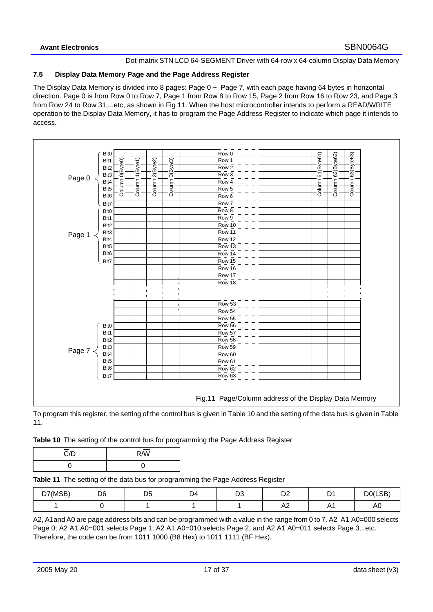## **7.5 Display Data Memory Page and the Page Address Register**

The Display Data Memory is divided into 8 pages: Page 0 ~ Page 7, with each page having 64 bytes in horizontal direction. Page 0 is from Row 0 to Row 7, Page 1 from Row 8 to Row 15, Page 2 from Row 16 to Row 23, and Page 3 from Row 24 to Row 31,...etc, as shown in Fig 11. When the host microcontroller intends to perform a READ/WRITE operation to the Display Data Memory, it has to program the Page Address Register to indicate which page it intends to access.



To program this register, the setting of the control bus is given in Table 10 and the setting of the data bus is given in Table 11.

| Table 10 The setting of the control bus for programming the Page Address Register |  |  |
|-----------------------------------------------------------------------------------|--|--|
|-----------------------------------------------------------------------------------|--|--|

| $\overline{C}$ /D | $R/\overline{W}$ |
|-------------------|------------------|
|                   |                  |

**Table 11** The setting of the data bus for programming the Page Address Register

| D7(MSB)<br>ו ש | D6 | υu | D4 | n o<br>ບ∪ | <u>_</u><br>◡▵ | n.<br>U       | D0(LSB) |
|----------------|----|----|----|-----------|----------------|---------------|---------|
|                |    |    |    |           | ∼              | Λ<br>$\Gamma$ | AU      |

A2, A1and A0 are page address bits and can be programmed with a value in the range from 0 to 7. A2 A1 A0=000 selects Page 0; A2 A1 A0=001 selects Page 1; A2 A1 A0=010 selects Page 2, and A2 A1 A0=011 selects Page 3...etc. Therefore, the code can be from 1011 1000 (B8 Hex) to 1011 1111 (BF Hex).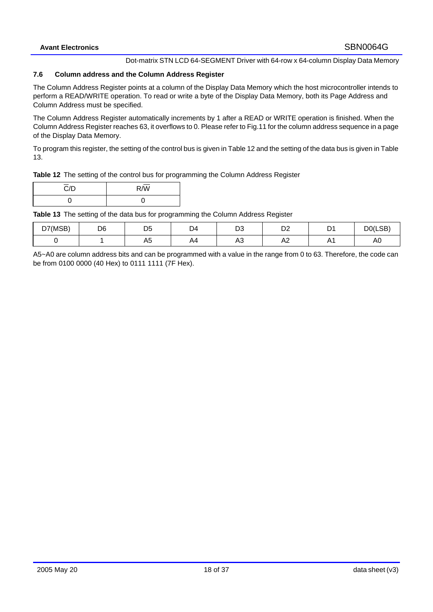## **7.6 Column address and the Column Address Register**

The Column Address Register points at a column of the Display Data Memory which the host microcontroller intends to perform a READ/WRITE operation. To read or write a byte of the Display Data Memory, both its Page Address and Column Address must be specified.

The Column Address Register automatically increments by 1 after a READ or WRITE operation is finished. When the Column Address Register reaches 63, it overflows to 0. Please refer to Fig.11 for the column address sequence in a page of the Display Data Memory.

To program this register, the setting of the control bus is given in Table 12 and the setting of the data bus is given in Table 13.

|  |  |  |  | Table 12 The setting of the control bus for programming the Column Address Register |
|--|--|--|--|-------------------------------------------------------------------------------------|
|--|--|--|--|-------------------------------------------------------------------------------------|

| $\overline{C}/D$ | $D \overline{M}$<br>v v |
|------------------|-------------------------|
|                  |                         |

**Table 13** The setting of the data bus for programming the Column Address Register

| D7(MSB) | D <sub>6</sub> | ◡<br>$\sim$ | $\nabla$<br>◡ | ບ∪              | $\mathbf{a}$<br>◡▵<br>-- | D.<br>ັ | D0(LSB) |
|---------|----------------|-------------|---------------|-----------------|--------------------------|---------|---------|
|         |                | $\sim$<br>∼ | A4            | $\epsilon$<br>৲ | n4                       | ,,,     | πυ      |

A5~A0 are column address bits and can be programmed with a value in the range from 0 to 63. Therefore, the code can be from 0100 0000 (40 Hex) to 0111 1111 (7F Hex).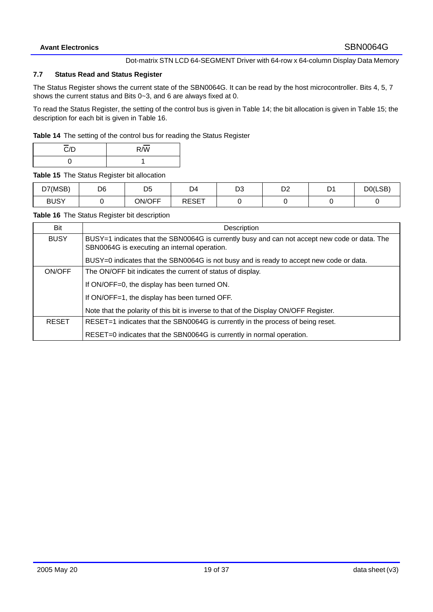#### **7.7 Status Read and Status Register**

The Status Register shows the current state of the SBN0064G. It can be read by the host microcontroller. Bits 4, 5, 7 shows the current status and Bits 0~3, and 6 are always fixed at 0.

To read the Status Register, the setting of the control bus is given in Table 14; the bit allocation is given in Table 15; the description for each bit is given in Table 16.

**Table 14** The setting of the control bus for reading the Status Register

| $\overline{C}$ /D | $R/\overline{W}$ |
|-------------------|------------------|
|                   |                  |

**Table 15** The Status Register bit allocation

| D7(MSB)     | D <sub>6</sub> | nг<br>◡ | D4           | n o<br>ບ∪ | Dr.<br>◡▵ | $\mathcal{L}$<br>ັ | D0(LSB) |
|-------------|----------------|---------|--------------|-----------|-----------|--------------------|---------|
| <b>BUSY</b> |                | ON/OFF  | <b>RESET</b> |           |           |                    |         |

**Table 16** The Status Register bit description

| Bit          | Description                                                                                                                                   |
|--------------|-----------------------------------------------------------------------------------------------------------------------------------------------|
| <b>BUSY</b>  | BUSY=1 indicates that the SBN0064G is currently busy and can not accept new code or data. The<br>SBN0064G is executing an internal operation. |
|              | BUSY=0 indicates that the SBN0064G is not busy and is ready to accept new code or data.                                                       |
| ON/OFF       | The ON/OFF bit indicates the current of status of display.                                                                                    |
|              | If ON/OFF=0, the display has been turned ON.                                                                                                  |
|              | If ON/OFF=1, the display has been turned OFF.                                                                                                 |
|              | Note that the polarity of this bit is inverse to that of the Display ON/OFF Register.                                                         |
| <b>RESET</b> | RESET=1 indicates that the SBN0064G is currently in the process of being reset.                                                               |
|              | RESET=0 indicates that the SBN0064G is currently in normal operation.                                                                         |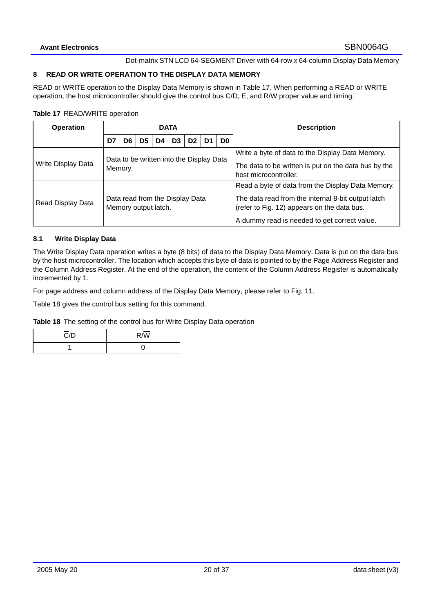## **8 READ OR WRITE OPERATION TO THE DISPLAY DATA MEMORY**

READ or WRITE operation to the Display Data Memory is shown in Table 17. When performing a READ or WRITE operation, the host microcontroller should give the control bus  $\overline{C}/D$ , E, and R $\overline{W}$  proper value and timing.

#### **Table 17** READ/WRITE operation

| <b>Operation</b>   | <b>DATA</b>                                             |     |                |    |    |                |                |    | <b>Description</b>                                                                                                                                                                                     |
|--------------------|---------------------------------------------------------|-----|----------------|----|----|----------------|----------------|----|--------------------------------------------------------------------------------------------------------------------------------------------------------------------------------------------------------|
|                    | D7                                                      | D6. | D <sub>5</sub> | D4 | D3 | D <sub>2</sub> | D <sub>1</sub> | D0 |                                                                                                                                                                                                        |
| Write Display Data | Data to be written into the Display Data<br>Memory.     |     |                |    |    |                |                |    | Write a byte of data to the Display Data Memory.<br>The data to be written is put on the data bus by the<br>host microcontroller.                                                                      |
| Read Display Data  | Data read from the Display Data<br>Memory output latch. |     |                |    |    |                |                |    | Read a byte of data from the Display Data Memory.<br>The data read from the internal 8-bit output latch<br>(refer to Fig. 12) appears on the data bus.<br>A dummy read is needed to get correct value. |

## **8.1 Write Display Data**

The Write Display Data operation writes a byte (8 bits) of data to the Display Data Memory. Data is put on the data bus by the host microcontroller. The location which accepts this byte of data is pointed to by the Page Address Register and the Column Address Register. At the end of the operation, the content of the Column Address Register is automatically incremented by 1.

For page address and column address of the Display Data Memory, please refer to Fig. 11.

Table 18 gives the control bus setting for this command.

**Table 18** The setting of the control bus for Write Display Data operation

| $\overline{C}/D$ | $R/\sqrt{W}$ |
|------------------|--------------|
|                  |              |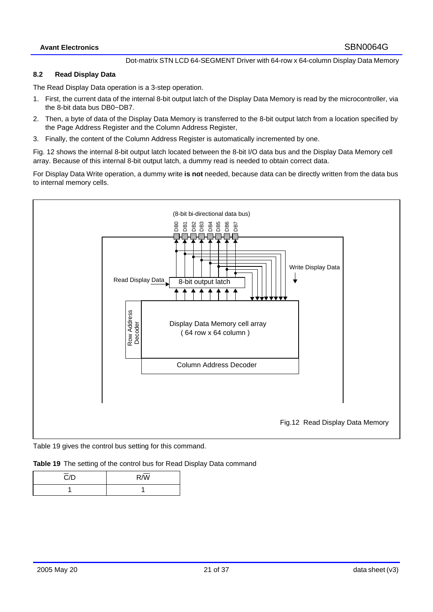#### **8.2 Read Display Data**

The Read Display Data operation is a 3-step operation.

- 1. First, the current data of the internal 8-bit output latch of the Display Data Memory is read by the microcontroller, via the 8-bit data bus DB0~DB7.
- 2. Then, a byte of data of the Display Data Memory is transferred to the 8-bit output latch from a location specified by the Page Address Register and the Column Address Register,
- 3. Finally, the content of the Column Address Register is automatically incremented by one.

Fig. 12 shows the internal 8-bit output latch located between the 8-bit I/O data bus and the Display Data Memory cell array. Because of this internal 8-bit output latch, a dummy read is needed to obtain correct data.

For Display Data Write operation, a dummy write **is not** needed, because data can be directly written from the data bus to internal memory cells.



Table 19 gives the control bus setting for this command.

**Table 19** The setting of the control bus for Read Display Data command

| $\overline{\text{C}}$ /D | $R/\overline{W}$ |
|--------------------------|------------------|
|                          |                  |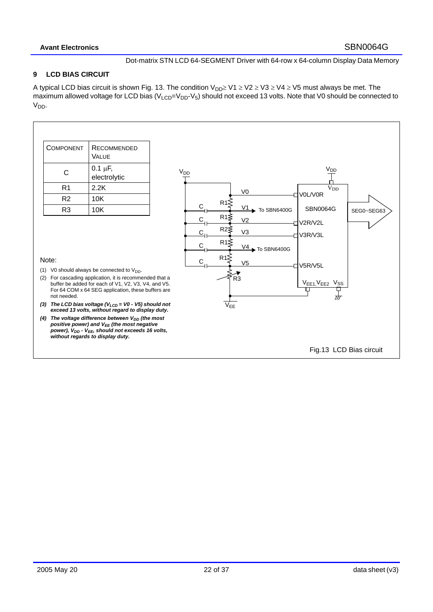## **9 LCD BIAS CIRCUIT**

A typical LCD bias circuit is shown Fig. 13. The condition  $V_{DD} \geq V1 \geq V2 \geq V3 \geq V4 \geq V5$  must always be met. The maximum allowed voltage for LCD bias ( $V_{LCD} = V_{DD} - V_5$ ) should not exceed 13 volts. Note that V0 should be connected to V<sub>DD</sub>.

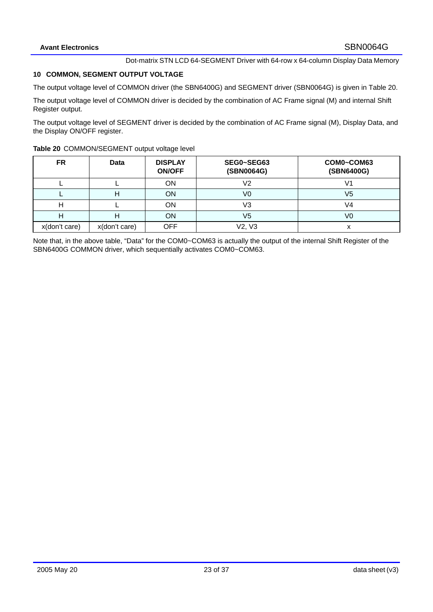# **10 COMMON, SEGMENT OUTPUT VOLTAGE**

The output voltage level of COMMON driver (the SBN6400G) and SEGMENT driver (SBN0064G) is given in Table 20.

The output voltage level of COMMON driver is decided by the combination of AC Frame signal (M) and internal Shift Register output.

The output voltage level of SEGMENT driver is decided by the combination of AC Frame signal (M), Display Data, and the Display ON/OFF register.

|  | Table 20 COMMON/SEGMENT output voltage level |  |
|--|----------------------------------------------|--|
|--|----------------------------------------------|--|

| <b>FR</b>     | <b>Data</b>   | <b>DISPLAY</b><br><b>ON/OFF</b> | SEG0~SEG63<br>(SBN0064G) | COM0~COM63<br>(SBN6400G) |
|---------------|---------------|---------------------------------|--------------------------|--------------------------|
|               |               | ON                              | V2                       | V1                       |
|               | п             | <b>ON</b>                       | V0                       | V5                       |
|               |               | OΝ                              | V3                       | V4                       |
|               | п             | ON                              | V5                       | V0                       |
| x(don't care) | x(don't care) | <b>OFF</b>                      | V2, V3                   | x                        |

Note that, in the above table, "Data" for the COM0~COM63 is actually the output of the internal Shift Register of the SBN6400G COMMON driver, which sequentially activates COM0~COM63.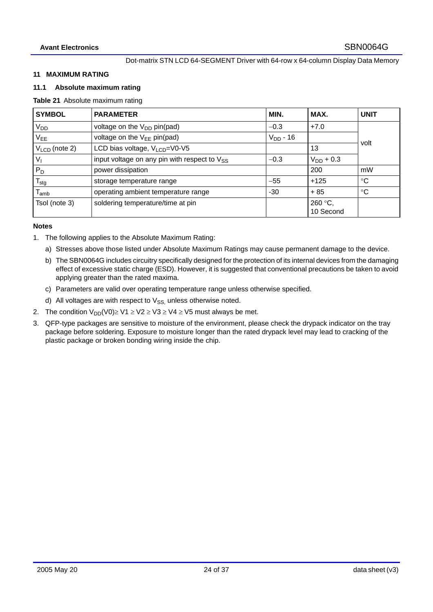#### **11 MAXIMUM RATING**

#### **11.1 Absolute maximum rating**

#### **Table 21** Absolute maximum rating

| <b>SYMBOL</b>               | <b>PARAMETER</b>                                  | MIN.          | MAX.                 | <b>UNIT</b>     |
|-----------------------------|---------------------------------------------------|---------------|----------------------|-----------------|
| $V_{DD}$                    | voltage on the V <sub>DD</sub> pin(pad)           | $-0.3$        | $+7.0$               |                 |
| $V_{EE}$                    | voltage on the $V_{EE}$ pin(pad)                  | $V_{DD}$ - 16 |                      | volt            |
| $V_{LCD}$ (note 2)          | LCD bias voltage, $V_{LCD} = V0 - V5$             |               | 13                   |                 |
| $V_{\parallel}$             | input voltage on any pin with respect to $V_{SS}$ | $-0.3$        | $V_{DD}$ + 0.3       |                 |
| $P_D$                       | power dissipation                                 |               | 200                  | mW              |
| $T_{\text{stg}}$            | storage temperature range                         | $-55$         | $+125$               | $^{\circ}C$     |
| $\mathsf{T}_{\mathsf{amb}}$ | operating ambient temperature range               | $-30$         | $+85$                | $\rm ^{\circ}C$ |
| Tsol (note 3)               | soldering temperature/time at pin                 |               | 260 °C,<br>10 Second |                 |

#### **Notes**

- 1. The following applies to the Absolute Maximum Rating:
	- a) Stresses above those listed under Absolute Maximum Ratings may cause permanent damage to the device.
	- b) The SBN0064G includes circuitry specifically designed for the protection of its internal devices from the damaging effect of excessive static charge (ESD). However, it is suggested that conventional precautions be taken to avoid applying greater than the rated maxima.
	- c) Parameters are valid over operating temperature range unless otherwise specified.
	- d) All voltages are with respect to  $V_{SS}$  unless otherwise noted.
- 2. The condition  $V_{DD}(V0) \geq V1 \geq V2 \geq V3 \geq V4 \geq V5$  must always be met.
- 3. QFP-type packages are sensitive to moisture of the environment, please check the drypack indicator on the tray package before soldering. Exposure to moisture longer than the rated drypack level may lead to cracking of the plastic package or broken bonding wiring inside the chip.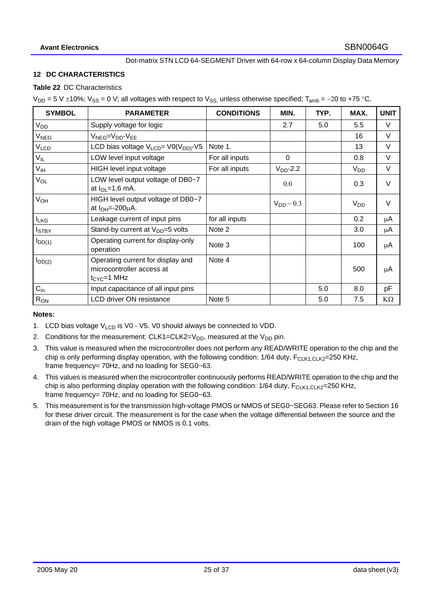#### **12 DC CHARACTERISTICS**

#### **Table 22** DC Characteristics

 $V_{DD}$  = 5 V ±10%;  $V_{SS}$  = 0 V; all voltages with respect to  $V_{SS}$  unless otherwise specified; T<sub>amb</sub> = −20 to +75 °C.

| <b>SYMBOL</b>          | <b>PARAMETER</b>                                                                    | <b>CONDITIONS</b> | MIN.           | TYP. | MAX.            | <b>UNIT</b> |
|------------------------|-------------------------------------------------------------------------------------|-------------------|----------------|------|-----------------|-------------|
| V <sub>DD</sub>        | Supply voltage for logic                                                            |                   | 2.7            | 5.0  | 5.5             | V           |
| V <sub>NEG</sub>       | V <sub>NEG</sub> =V <sub>DD</sub> -V <sub>EE</sub>                                  |                   |                |      | 16              | $\vee$      |
| <b>V<sub>LCD</sub></b> | LCD bias voltage $V_{LCD} = V0(V_{DD})-V5$                                          | Note 1.           |                |      | 13              | $\vee$      |
| $V_{IL}$               | LOW level input voltage                                                             | For all inputs    | $\Omega$       |      | 0.8             | $\vee$      |
| V <sub>IH</sub>        | HIGH level input voltage                                                            | For all inputs    | $VDD$ -2.2     |      | V <sub>DD</sub> | V           |
| V <sub>OL</sub>        | LOW level output voltage of DB0~7<br>at $I_{OL}$ =1.6 mA.                           |                   | 0.0            |      | 0.3             | $\vee$      |
| V <sub>OH</sub>        | HIGH level output voltage of DB0~7<br>at $I_{OH} = -200 \mu A$ .                    |                   | $V_{DD}$ – 0.3 |      | $V_{DD}$        | $\vee$      |
| <b>ILKG</b>            | Leakage current of input pins                                                       | for all inputs    |                |      | 0.2             | μA          |
| <b>I</b> STBY          | Stand-by current at $V_{DD} = 5$ volts                                              | Note 2            |                |      | 3.0             | μA          |
| $I_{DD(1)}$            | Operating current for display-only<br>operation                                     | Note 3            |                |      | 100             | μA          |
| $I_{DD(2)}$            | Operating current for display and<br>microcontroller access at<br>$t_{CYC} = 1$ MHz | Note 4            |                |      | 500             | μA          |
| $C_{in}$               | Input capacitance of all input pins                                                 |                   |                | 5.0  | 8.0             | pF          |
| R <sub>ON</sub>        | <b>LCD driver ON resistance</b>                                                     | Note 5            |                | 5.0  | 7.5             | $K\Omega$   |

#### **Notes:**

- 1. LCD bias voltage  $V_{\text{LCD}}$  is V0 V5. V0 should always be connected to VDD.
- 2. Conditions for the measurement:  $CLK1 = CLK2 = V_{DD}$ , measured at the  $V_{DD}$  pin.
- 3. This value is measured when the microcontroller does not perform any READ/WRITE operation to the chip and the chip is only performing display operation, with the following condition:  $1/64$  duty,  $F_{CLK1,CLK2}=250$  KHz, frame frequency= 70Hz, and no loading for SEG0~63.
- 4. This values is measured when the microcontroller continuously performs READ/WRITE operation to the chip and the chip is also performing display operation with the following condition:  $1/64$  duty,  $F_{\text{CLK1,CLK2}}$ =250 KHz, frame frequency= 70Hz, and no loading for SEG0~63.
- 5. This measurement is for the transmission high-voltage PMOS or NMOS of SEG0~SEG63. Please refer to Section 16 for these driver circuit. The measurement is for the case when the voltage differential between the source and the drain of the high voltage PMOS or NMOS is 0.1 volts.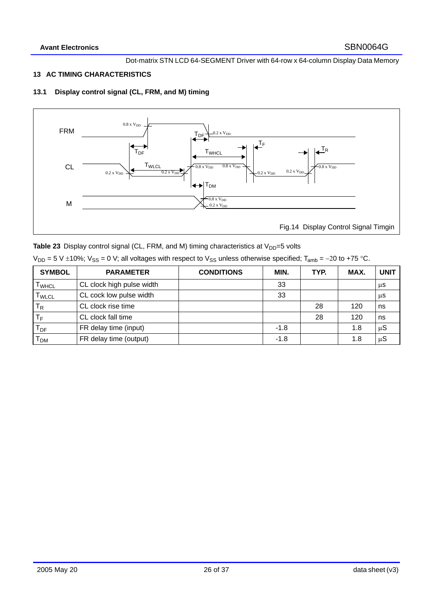## **13 AC TIMING CHARACTERISTICS**

# **13.1 Display control signal (CL, FRM, and M) timing**



|  |  | Table 23 Display control signal (CL, FRM, and M) timing characteristics at $V_{DD} = 5$ volts |  |
|--|--|-----------------------------------------------------------------------------------------------|--|
|--|--|-----------------------------------------------------------------------------------------------|--|

| $V_{DD}$ = 5 V ±10%; $V_{SS}$ = 0 V; all voltages with respect to $V_{SS}$ unless otherwise specified; T <sub>amb</sub> = -20 to +75 °C. |  |  |
|------------------------------------------------------------------------------------------------------------------------------------------|--|--|
|------------------------------------------------------------------------------------------------------------------------------------------|--|--|

| <b>SYMBOL</b>                | <b>PARAMETER</b>          | <b>CONDITIONS</b> | MIN.   | TYP. | MAX. | <b>UNIT</b> |
|------------------------------|---------------------------|-------------------|--------|------|------|-------------|
| <b>I</b> WHCL                | CL clock high pulse width |                   | 33     |      |      | μS          |
| $\mathsf{T}_{\mathsf{WLCL}}$ | CL cock low pulse width   |                   | 33     |      |      | μS          |
| $\mathsf{T}_{\mathsf{R}}$    | CL clock rise time        |                   |        | 28   | 120  | ns          |
| ТF                           | CL clock fall time        |                   |        | 28   | 120  | ns          |
| $T_{DF}$                     | FR delay time (input)     |                   | $-1.8$ |      | 1.8  | $\mu S$     |
| Т <sub>рм</sub>              | FR delay time (output)    |                   | $-1.8$ |      | 1.8  | $\mu S$     |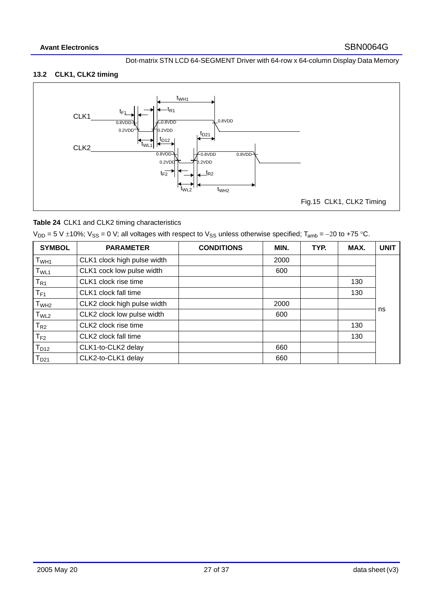# **13.2 CLK1, CLK2 timing**



# **Table 24** CLK1 and CLK2 timing characteristics

 $V_{DD}$  = 5 V ±10%;  $V_{SS}$  = 0 V; all voltages with respect to  $V_{SS}$  unless otherwise specified; T<sub>amb</sub> = −20 to +75 °C.

| <b>SYMBOL</b>              | <b>PARAMETER</b>            | <b>CONDITIONS</b> | MIN. | TYP. | MAX. | <b>UNIT</b> |
|----------------------------|-----------------------------|-------------------|------|------|------|-------------|
| T <sub>WH1</sub>           | CLK1 clock high pulse width |                   | 2000 |      |      |             |
| T <sub>WL1</sub>           | CLK1 cock low pulse width   |                   | 600  |      |      |             |
| $\mathsf{T}_{\mathsf{R1}}$ | CLK1 clock rise time        |                   |      |      | 130  |             |
| $\mathsf{T}_{\mathsf{F1}}$ | CLK1 clock fall time        |                   |      |      | 130  |             |
| T <sub>WH2</sub>           | CLK2 clock high pulse width |                   | 2000 |      |      |             |
| T <sub>WL2</sub>           | CLK2 clock low pulse width  |                   | 600  |      |      | ns          |
| $T_{R2}$                   | CLK2 clock rise time        |                   |      |      | 130  |             |
| $T_{F2}$                   | CLK2 clock fall time        |                   |      |      | 130  |             |
| T <sub>D12</sub>           | CLK1-to-CLK2 delay          |                   | 660  |      |      |             |
| $T_{D21}$                  | CLK2-to-CLK1 delay          |                   | 660  |      |      |             |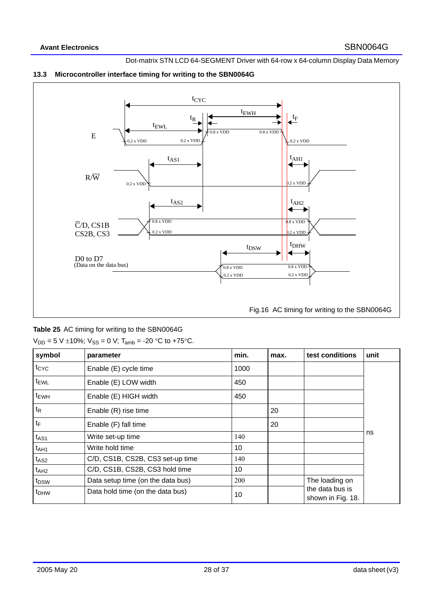

## **13.3 Microcontroller interface timing for writing to the SBN0064G**

**Table 25** AC timing for writing to the SBN0064G

| symbol           | parameter                         | min. | max. | test conditions                      | unit |
|------------------|-----------------------------------|------|------|--------------------------------------|------|
| t <sub>CYC</sub> | Enable (E) cycle time             | 1000 |      |                                      |      |
| t <sub>EWL</sub> | Enable (E) LOW width              | 450  |      |                                      |      |
| t <sub>EWH</sub> | Enable (E) HIGH width             | 450  |      |                                      |      |
| $t_{R}$          | Enable (R) rise time              |      | 20   |                                      |      |
| $t_{F}$          | Enable (F) fall time              |      | 20   |                                      |      |
| $t_{AS1}$        | Write set-up time                 | 140  |      |                                      | ns   |
| $t_{AH1}$        | Write hold time                   | 10   |      |                                      |      |
| $t_{AS2}$        | C/D, CS1B, CS2B, CS3 set-up time  | 140  |      |                                      |      |
| t <sub>AH2</sub> | C/D, CS1B, CS2B, CS3 hold time    | 10   |      |                                      |      |
| t <sub>DSW</sub> | Data setup time (on the data bus) | 200  |      | The loading on                       |      |
| t <sub>DHW</sub> | Data hold time (on the data bus)  | 10   |      | the data bus is<br>shown in Fig. 18. |      |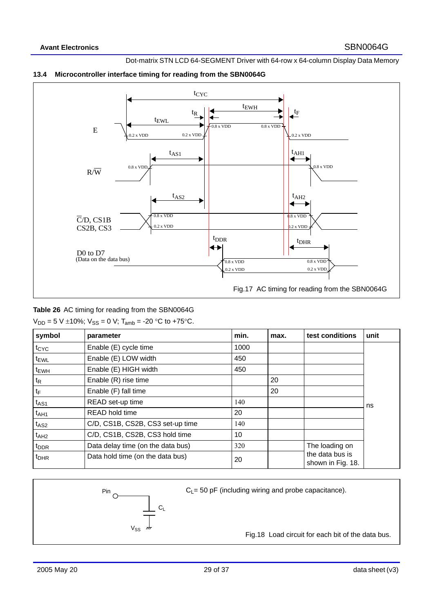

## **13.4 Microcontroller interface timing for reading from the SBN0064G**

**Table 26** AC timing for reading from the SBN0064G

 $V_{DD} = 5 V \pm 10\%$ ;  $V_{SS} = 0 V$ ;  $T_{amb} = -20 °C$  to +75°C.

| symbol           | parameter                         | min. | max. | test conditions                      | unit |
|------------------|-----------------------------------|------|------|--------------------------------------|------|
| $t_{CYC}$        | Enable (E) cycle time             | 1000 |      |                                      |      |
| <sup>t</sup> EWL | Enable (E) LOW width              | 450  |      |                                      |      |
| <sup>t</sup> EWH | Enable (E) HIGH width             | 450  |      |                                      |      |
| $t_{\mathsf{R}}$ | Enable (R) rise time              |      | 20   |                                      |      |
| tF               | Enable (F) fall time              |      | 20   |                                      |      |
| t <sub>AS1</sub> | READ set-up time                  | 140  |      |                                      | ns   |
| $t_{A}H1$        | <b>READ hold time</b>             | 20   |      |                                      |      |
| t <sub>AS2</sub> | C/D, CS1B, CS2B, CS3 set-up time  | 140  |      |                                      |      |
| t <sub>AH2</sub> | C/D, CS1B, CS2B, CS3 hold time    | 10   |      |                                      |      |
| t <sub>DDR</sub> | Data delay time (on the data bus) | 320  |      | The loading on                       |      |
| <sup>t</sup> DHR | Data hold time (on the data bus)  | 20   |      | the data bus is<br>shown in Fig. 18. |      |



Fig.18 Load circuit for each bit of the data bus.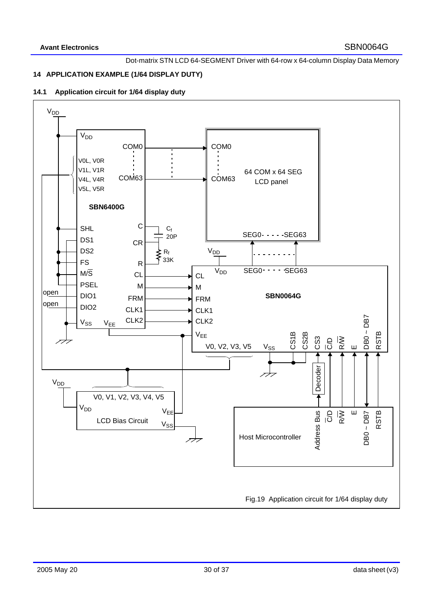# **14 APPLICATION EXAMPLE (1/64 DISPLAY DUTY)**

## **14.1 Application circuit for 1/64 display duty**

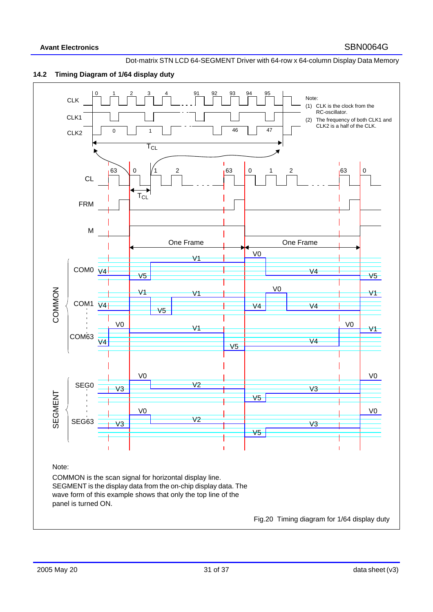

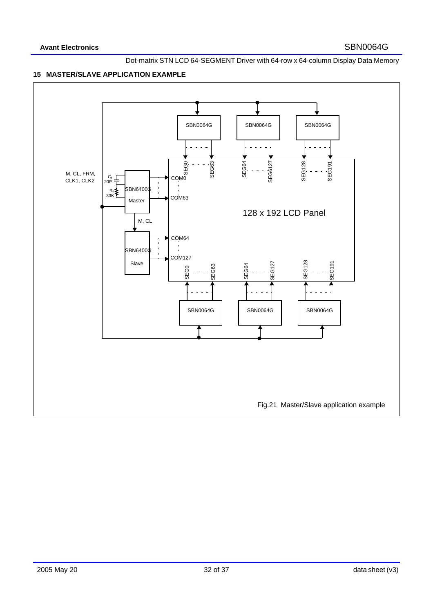## **15 MASTER/SLAVE APPLICATION EXAMPLE**

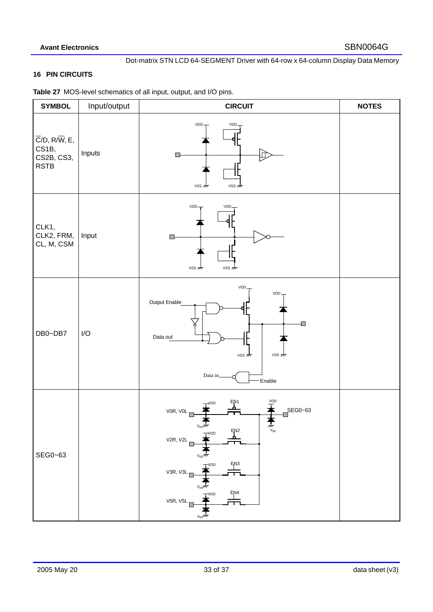## **16 PIN CIRCUITS**

**Table 27** MOS-level schematics of all input, output, and I/O pins.

| <b>SYMBOL</b>                                                    | Input/output | <b>CIRCUIT</b>                                                                                                                                                                                                      | <b>NOTES</b> |
|------------------------------------------------------------------|--------------|---------------------------------------------------------------------------------------------------------------------------------------------------------------------------------------------------------------------|--------------|
| $\overline{C}/D$ , R/W, E,<br>CS1B,<br>CS2B, CS3,<br><b>RSTB</b> | Inputs       | VDD.<br>VDD<br>$\Box$<br>ச<br>$VSS \nightharpoondown$<br>VSS 277                                                                                                                                                    |              |
| CLK1,<br>CLK2, FRM,<br>CL, M, CSM                                | Input        | $VDD-$<br>VDD,<br>$\Box$<br>VSS m<br>VSS 277                                                                                                                                                                        |              |
| DB0~DB7                                                          | I/O          | VDD<br>VDD.<br>Output Enable<br>О<br>Data out<br>$VSS \nightharpoondown$<br>$VSS \nightharpoonup$<br>Data in<br>Enable                                                                                              |              |
| SEG0~63                                                          |              | VDD<br>EN1<br>VDD<br>SEG0~63<br>VOR, VOL<br>$V_{EF}$ ///<br>$\frac{m}{v_{\text{EE}}}$<br>EN <sub>2</sub><br>VDD<br>V2R, V2L<br>EN <sub>3</sub><br>$\overline{\mathsf{r}}$ VDD<br>V3R, V3L<br>EN4<br>VDD<br>V5R, V5L |              |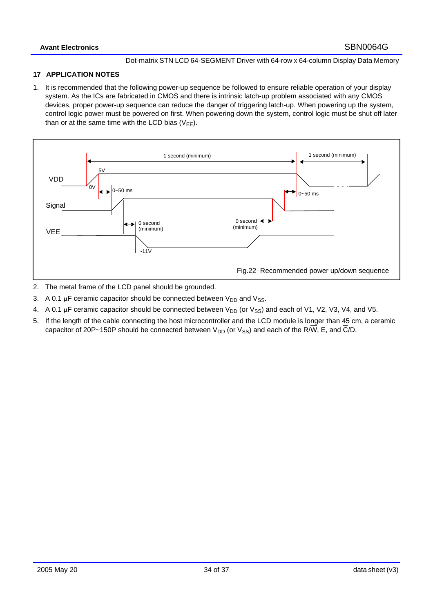## **17 APPLICATION NOTES**

1. It is recommended that the following power-up sequence be followed to ensure reliable operation of your display system. As the ICs are fabricated in CMOS and there is intrinsic latch-up problem associated with any CMOS devices, proper power-up sequence can reduce the danger of triggering latch-up. When powering up the system, control logic power must be powered on first. When powering down the system, control logic must be shut off later than or at the same time with the LCD bias  $(V_{FF})$ .



- 2. The metal frame of the LCD panel should be grounded.
- 3. A 0.1  $\mu$ F ceramic capacitor should be connected between  $V_{DD}$  and  $V_{SS}$ .
- 4. A 0.1  $\mu$ F ceramic capacitor should be connected between  $V_{DD}$  (or  $V_{SS}$ ) and each of V1, V2, V3, V4, and V5.
- 5. If the length of the cable connecting the host microcontroller and the LCD module is longer than 45 cm, a ceramic capacitor of 20P~150P should be connected between  $V_{DD}$  (or  $V_{SS}$ ) and each of the R/W, E, and C/D.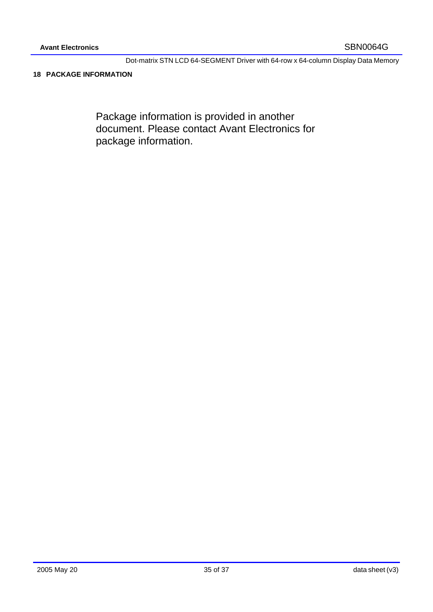## **18 PACKAGE INFORMATION**

Package information is provided in another document. Please contact Avant Electronics for package information.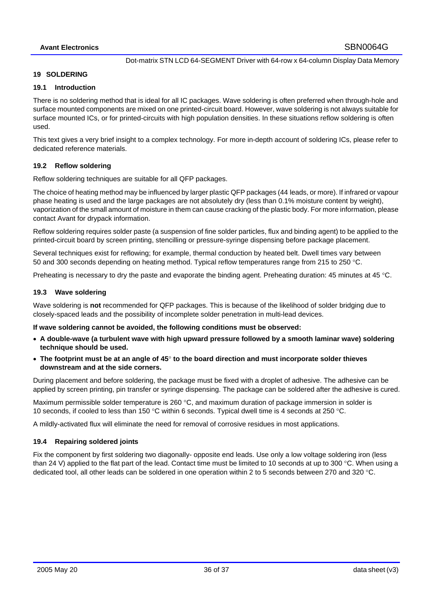#### **19 SOLDERING**

## **19.1 Introduction**

There is no soldering method that is ideal for all IC packages. Wave soldering is often preferred when through-hole and surface mounted components are mixed on one printed-circuit board. However, wave soldering is not always suitable for surface mounted ICs, or for printed-circuits with high population densities. In these situations reflow soldering is often used.

This text gives a very brief insight to a complex technology. For more in-depth account of soldering ICs, please refer to dedicated reference materials.

## **19.2 Reflow soldering**

Reflow soldering techniques are suitable for all QFP packages.

The choice of heating method may be influenced by larger plastic QFP packages (44 leads, or more). If infrared or vapour phase heating is used and the large packages are not absolutely dry (less than 0.1% moisture content by weight), vaporization of the small amount of moisture in them can cause cracking of the plastic body. For more information, please contact Avant for drypack information.

Reflow soldering requires solder paste (a suspension of fine solder particles, flux and binding agent) to be applied to the printed-circuit board by screen printing, stencilling or pressure-syringe dispensing before package placement.

Several techniques exist for reflowing; for example, thermal conduction by heated belt. Dwell times vary between 50 and 300 seconds depending on heating method. Typical reflow temperatures range from 215 to 250 °C.

Preheating is necessary to dry the paste and evaporate the binding agent. Preheating duration: 45 minutes at 45 °C.

#### **19.3 Wave soldering**

Wave soldering is **not** recommended for QFP packages. This is because of the likelihood of solder bridging due to closely-spaced leads and the possibility of incomplete solder penetration in multi-lead devices.

#### **If wave soldering cannot be avoided, the following conditions must be observed:**

- **A double-wave (a turbulent wave with high upward pressure followed by a smooth laminar wave) soldering technique should be used.**
- **The footprint must be at an angle of 45**° **to the board direction and must incorporate solder thieves downstream and at the side corners.**

During placement and before soldering, the package must be fixed with a droplet of adhesive. The adhesive can be applied by screen printing, pin transfer or syringe dispensing. The package can be soldered after the adhesive is cured.

Maximum permissible solder temperature is 260 °C, and maximum duration of package immersion in solder is 10 seconds, if cooled to less than 150 °C within 6 seconds. Typical dwell time is 4 seconds at 250 °C.

A mildly-activated flux will eliminate the need for removal of corrosive residues in most applications.

#### **19.4 Repairing soldered joints**

Fix the component by first soldering two diagonally- opposite end leads. Use only a low voltage soldering iron (less than 24 V) applied to the flat part of the lead. Contact time must be limited to 10 seconds at up to 300  $\degree$ C. When using a dedicated tool, all other leads can be soldered in one operation within 2 to 5 seconds between 270 and 320 °C.